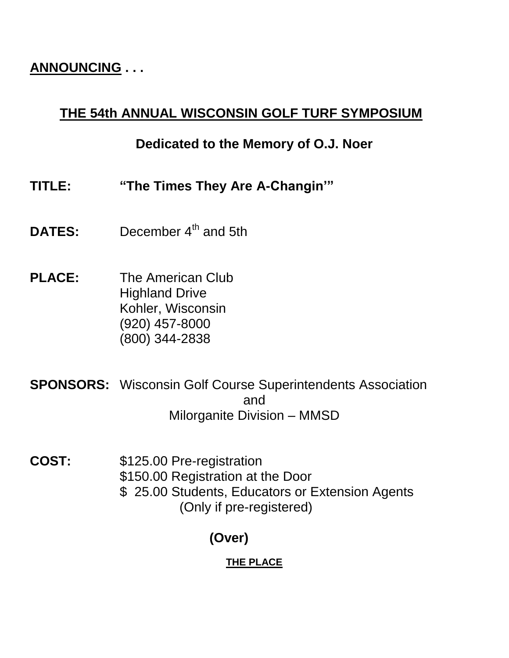# **ANNOUNCING . . .**

# **THE 54th ANNUAL WISCONSIN GOLF TURF SYMPOSIUM**

# **Dedicated to the Memory of O.J. Noer**

- **TITLE: "The Times They Are A-Changin'"**
- **DATES:** December 4<sup>th</sup> and 5th
- **PLACE:** The American Club Highland Drive Kohler, Wisconsin (920) 457-8000 (800) 344-2838
- **SPONSORS:** Wisconsin Golf Course Superintendents Association and Milorganite Division – MMSD
- **COST:** \$125.00 Pre-registration \$150.00 Registration at the Door \$ 25.00 Students, Educators or Extension Agents (Only if pre-registered)

# **(Over)**

## **THE PLACE**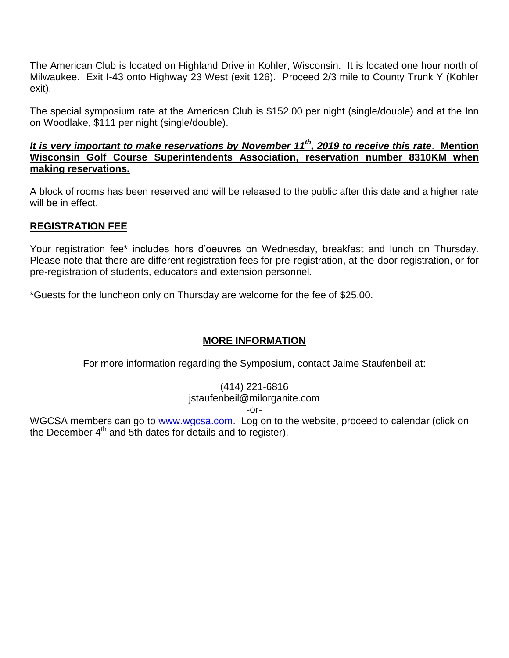The American Club is located on Highland Drive in Kohler, Wisconsin. It is located one hour north of Milwaukee. Exit I-43 onto Highway 23 West (exit 126). Proceed 2/3 mile to County Trunk Y (Kohler exit).

The special symposium rate at the American Club is \$152.00 per night (single/double) and at the Inn on Woodlake, \$111 per night (single/double).

#### *It is very important to make reservations by November 11th, 2019 to receive this rate*. **Mention Wisconsin Golf Course Superintendents Association, reservation number 8310KM when making reservations.**

A block of rooms has been reserved and will be released to the public after this date and a higher rate will be in effect.

### **REGISTRATION FEE**

Your registration fee\* includes hors d'oeuvres on Wednesday, breakfast and lunch on Thursday. Please note that there are different registration fees for pre-registration, at-the-door registration, or for pre-registration of students, educators and extension personnel.

\*Guests for the luncheon only on Thursday are welcome for the fee of \$25.00.

#### **MORE INFORMATION**

For more information regarding the Symposium, contact Jaime Staufenbeil at:

#### (414) 221-6816

jstaufenbeil@milorganite.com

#### -or-

WGCSA members can go to [www.wgcsa.com.](http://www.wgcsa.com/) Log on to the website, proceed to calendar (click on the December  $4<sup>th</sup>$  and 5th dates for details and to register).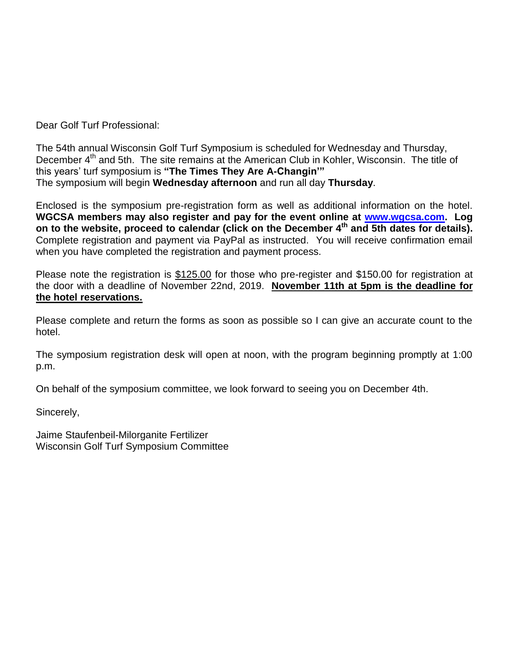Dear Golf Turf Professional:

The 54th annual Wisconsin Golf Turf Symposium is scheduled for Wednesday and Thursday, December 4<sup>th</sup> and 5th. The site remains at the American Club in Kohler, Wisconsin. The title of this years' turf symposium is **"The Times They Are A-Changin'"** The symposium will begin **Wednesday afternoon** and run all day **Thursday**.

Enclosed is the symposium pre-registration form as well as additional information on the hotel. **WGCSA members may also register and pay for the event online at [www.wgcsa.com.](http://www.wgcsa.com/) Log on to the website, proceed to calendar (click on the December 4th and 5th dates for details).**  Complete registration and payment via PayPal as instructed. You will receive confirmation email when you have completed the registration and payment process.

Please note the registration is \$125.00 for those who pre-register and \$150.00 for registration at the door with a deadline of November 22nd, 2019. **November 11th at 5pm is the deadline for the hotel reservations.**

Please complete and return the forms as soon as possible so I can give an accurate count to the hotel.

The symposium registration desk will open at noon, with the program beginning promptly at 1:00 p.m.

On behalf of the symposium committee, we look forward to seeing you on December 4th.

Sincerely,

Jaime Staufenbeil-Milorganite Fertilizer Wisconsin Golf Turf Symposium Committee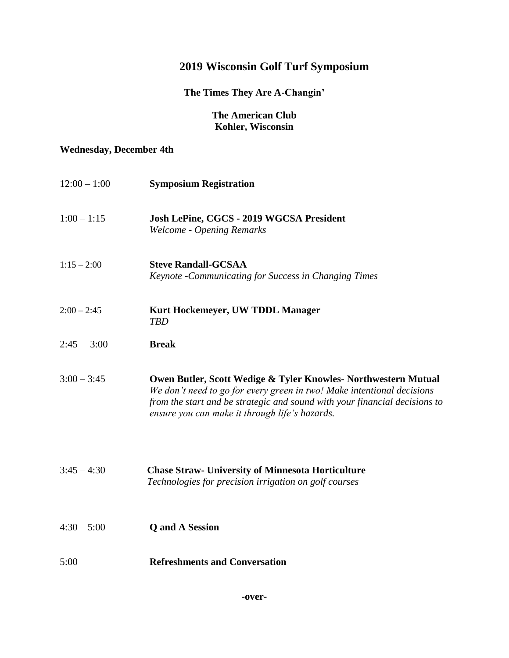## **2019 Wisconsin Golf Turf Symposium**

### **The Times They Are A-Changin'**

#### **The American Club Kohler, Wisconsin**

#### **Wednesday, December 4th**

| $12:00 - 1:00$ | <b>Symposium Registration</b>                                                                                                                                                                                                                                            |
|----------------|--------------------------------------------------------------------------------------------------------------------------------------------------------------------------------------------------------------------------------------------------------------------------|
| $1:00 - 1:15$  | Josh LePine, CGCS - 2019 WGCSA President<br><b>Welcome - Opening Remarks</b>                                                                                                                                                                                             |
| $1:15 - 2:00$  | <b>Steve Randall-GCSAA</b><br>Keynote - Communicating for Success in Changing Times                                                                                                                                                                                      |
| $2:00 - 2:45$  | Kurt Hockemeyer, UW TDDL Manager<br><b>TBD</b>                                                                                                                                                                                                                           |
| $2:45 - 3:00$  | <b>Break</b>                                                                                                                                                                                                                                                             |
| $3:00 - 3:45$  | Owen Butler, Scott Wedige & Tyler Knowles- Northwestern Mutual<br>We don't need to go for every green in two! Make intentional decisions<br>from the start and be strategic and sound with your financial decisions to<br>ensure you can make it through life's hazards. |
| $3:45 - 4:30$  | <b>Chase Straw- University of Minnesota Horticulture</b><br>Technologies for precision irrigation on golf courses                                                                                                                                                        |
| $4:30 - 5:00$  | <b>Q</b> and A Session                                                                                                                                                                                                                                                   |
| 5:00           | <b>Refreshments and Conversation</b>                                                                                                                                                                                                                                     |